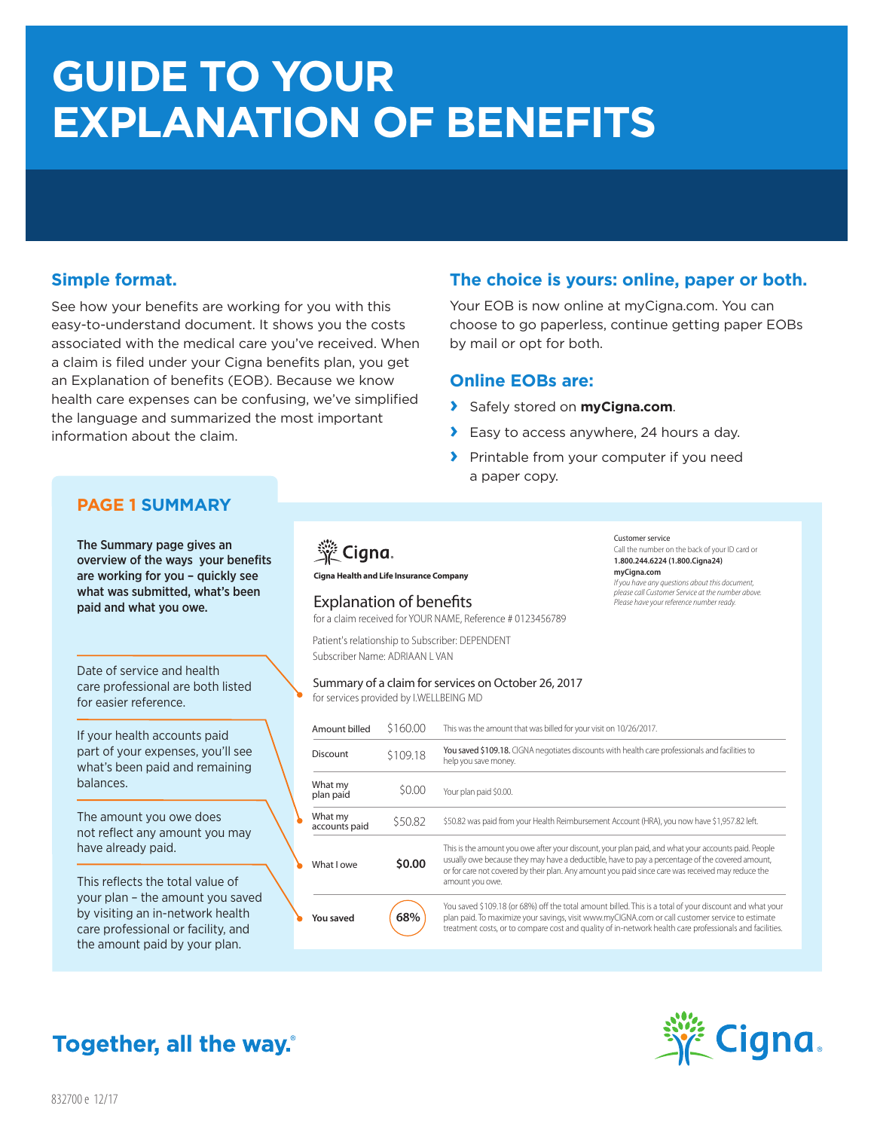# **GUIDE TO YOUR EXPLANATION OF BENEFITS**

# **Simple format.**

See how your benefits are working for you with this easy-to-understand document. It shows you the costs associated with the medical care you've received. When a claim is filed under your Cigna benefits plan, you get an Explanation of benefits (EOB). Because we know health care expenses can be confusing, we've simplified the language and summarized the most important information about the claim.

# **The choice is yours: online, paper or both.**

Your EOB is now online at myCigna.com. You can choose to go paperless, continue getting paper EOBs by mail or opt for both.

## **Online EOBs are:**

- **›** Safely stored on **myCigna.com**.
- **›** Easy to access anywhere, 24 hours a day.
- **›** Printable from your computer if you need a paper copy.

# **PAGE 1 SUMMARY**

The Summary page gives an overview of the ways your benefits are working for you – quickly see what was submitted, what's been paid and what you owe.

Date of service and health care professional are both listed for easier reference.

If your health accounts paid part of your expenses, you'll see what's been paid and remaining balances.

The amount you owe does not reflect any amount you may have already paid.

This reflects the total value of your plan – the amount you saved by visiting an in-network health care professional or facility, and the amount paid by your plan.



**Cigna Health and Life Insurance Company**

## Explanation of benefits

for a claim received for YOUR NAME, Reference # 0123456789

Patient's relationship to Subscriber: DEPENDENT Subscriber Name: ADRIAAN L VAN

#### Summary of a claim for services on October 26, 2017 for services provided by I.WELLBEING MD

Amount billed Discount What my plan paid What my accounts paid What I owe **You saved** This was the amount that was billed for your visit on 10/26/2017. You saved \$109.18. CIGNA negotiates discounts with health care professionals and facilities to help you save money. Your plan paid \$0.00. \$50.82 was paid from your Health Reimbursement Account (HRA), you now have \$1,957.82 left. This is the amount you owe after your discount, your plan paid, and what your accounts paid. People usually owe because they may have a deductible, have to pay a percentage of the covered amount, or for care not covered by their plan. Any amount you paid since care was received may reduce the amount you owe. You saved \$109.18 (or 68%) off the total amount billed. This is a total of your discount and what your plan paid. To maximize your savings, visit www.myCIGNA.com or call customer service to estimate treatment costs, or to compare cost and quality of in-network health care professionals and facilities. \$160.00 \$109.18 \$0.00 \$50.82 **\$0.00 68%** 



# **Together, all the way.**

Customer service Call the number on the back of your ID card or **1.800.244.6224 (1.800.Cigna24) myCigna.com** *If you have any questions about this document, please call Customer Service at the number above. Please have your reference number ready.*